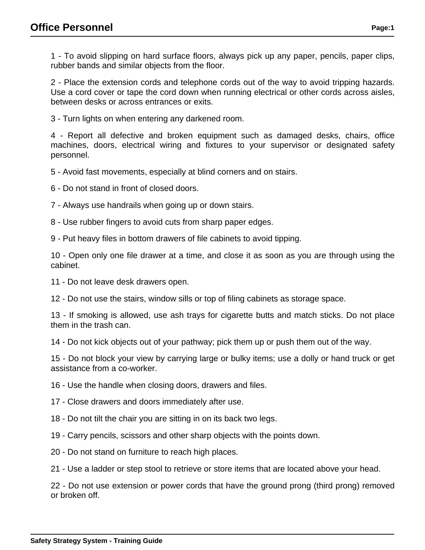1 - To avoid slipping on hard surface floors, always pick up any paper, pencils, paper clips, rubber bands and similar objects from the floor.

2 - Place the extension cords and telephone cords out of the way to avoid tripping hazards. Use a cord cover or tape the cord down when running electrical or other cords across aisles, between desks or across entrances or exits.

3 - Turn lights on when entering any darkened room.

4 - Report all defective and broken equipment such as damaged desks, chairs, office machines, doors, electrical wiring and fixtures to your supervisor or designated safety personnel.

5 - Avoid fast movements, especially at blind corners and on stairs.

6 - Do not stand in front of closed doors.

7 - Always use handrails when going up or down stairs.

8 - Use rubber fingers to avoid cuts from sharp paper edges.

9 - Put heavy files in bottom drawers of file cabinets to avoid tipping.

10 - Open only one file drawer at a time, and close it as soon as you are through using the cabinet.

11 - Do not leave desk drawers open.

12 - Do not use the stairs, window sills or top of filing cabinets as storage space.

13 - If smoking is allowed, use ash trays for cigarette butts and match sticks. Do not place them in the trash can.

14 - Do not kick objects out of your pathway; pick them up or push them out of the way.

15 - Do not block your view by carrying large or bulky items; use a dolly or hand truck or get assistance from a co-worker.

16 - Use the handle when closing doors, drawers and files.

17 - Close drawers and doors immediately after use.

18 - Do not tilt the chair you are sitting in on its back two legs.

19 - Carry pencils, scissors and other sharp objects with the points down.

20 - Do not stand on furniture to reach high places.

21 - Use a ladder or step stool to retrieve or store items that are located above your head.

22 - Do not use extension or power cords that have the ground prong (third prong) removed or broken off.